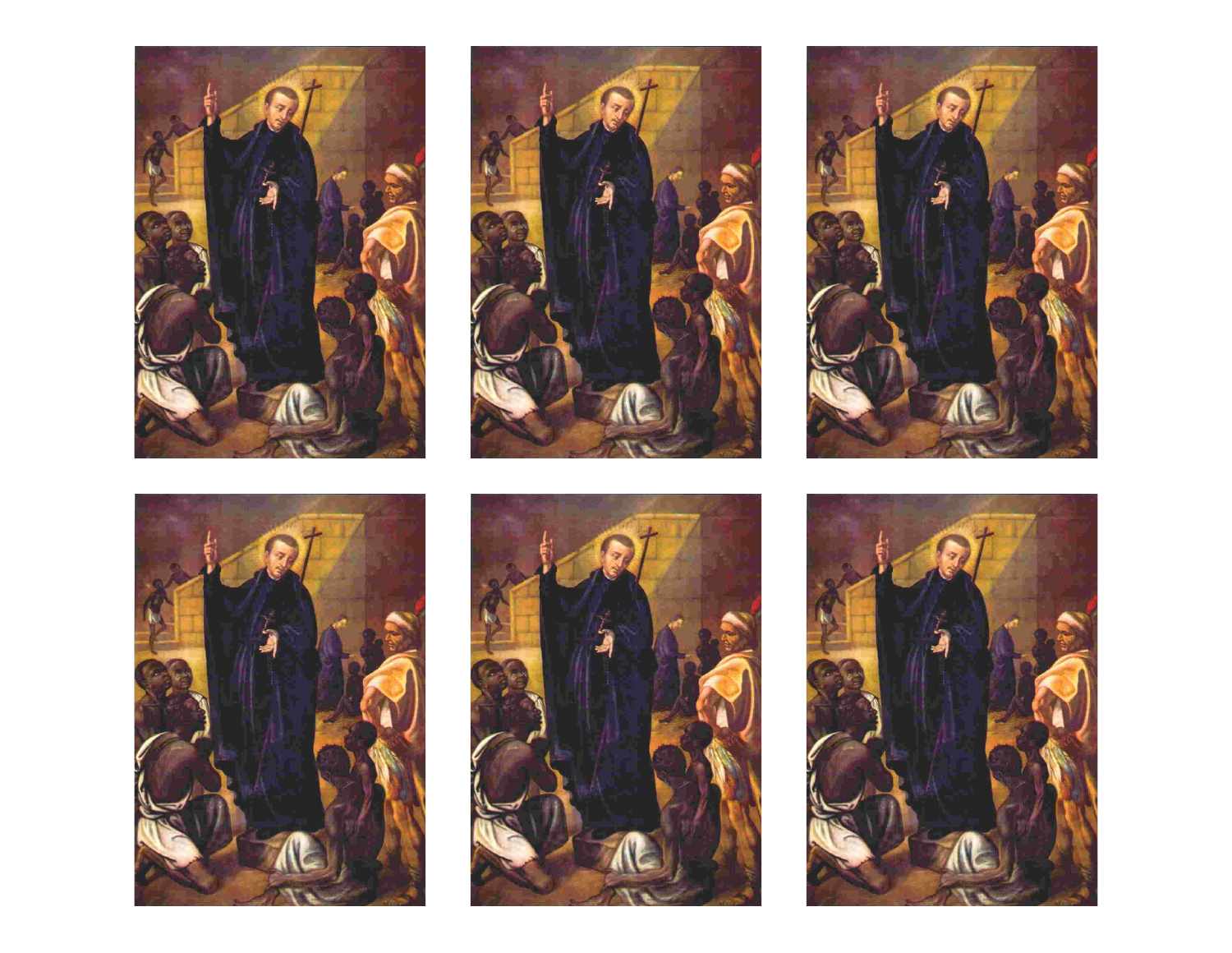